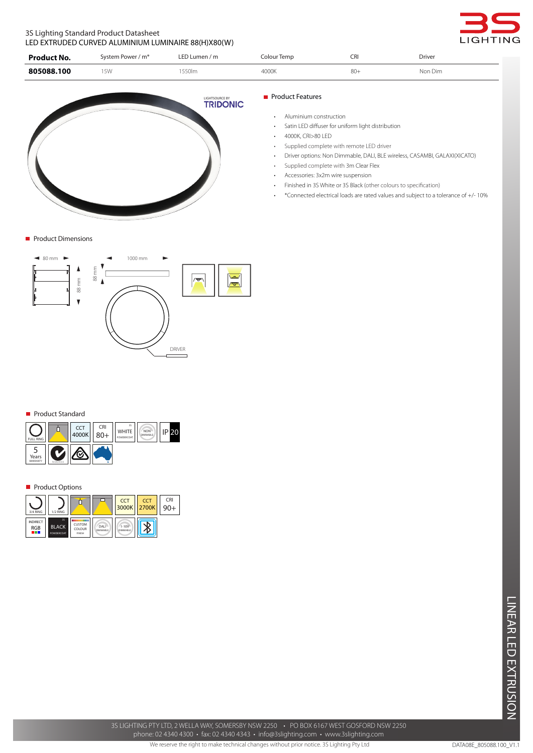# 3S Lighting Standard Product Datasheet LED EXTRUDED CURVED ALUMINIUM LUMINAIRE 88(H)X80(W)



| Product No. | System Power / m <sup>*</sup> | LED Lumen / $m$ | Colour Temp | CRI    | <b>Driver</b> |
|-------------|-------------------------------|-----------------|-------------|--------|---------------|
| 805088.100  | 5 <sub>W</sub>                | 550lm           | 4000K       | $80 +$ | Non Dim       |



**Product Dimensions** 



#### Product Standard



### **Product Options**

| 3/4 RING                              | 1/2 RING                         |                                   |                         | <b>CCT</b>                   | <b>CCT</b><br>3000K 2700K | CRI |
|---------------------------------------|----------------------------------|-----------------------------------|-------------------------|------------------------------|---------------------------|-----|
| <b>INDIRECT</b><br><b>RGB</b><br>a ka | 3S<br><b>BLACK</b><br>POWDERCOAT | . .<br>CUSTOM<br>COLOUR<br>FINISH | DALI<br><b>DIMMABLE</b> | $1 - 10V$<br><b>DIMMABLE</b> |                           |     |

## **Product Features**

- • Aluminium construction
- • Satin LED diffuser for uniform light distribution
- 4000K, CRI>80 LED
- Supplied complete with remote LED driver
- Driver options: Non Dimmable, DALI, BLE wireless, CASAMBI, GALAXI(XICATO)
- Supplied complete with 3m Clear Flex
- Accessories: 3x2m wire suspension
- Finished in 3S White or 3S Black (other colours to specification)
- • \*Connected electrical loads are rated values and subject to a tolerance of +/- 10%

3S LIGHTING PTY LTD, 2 WELLA WAY, SOMERSBY NSW 2250 • PO BOX 6167 WEST GOSFORD NSW 2250 phone: 02 4340 4300 • fax: 02 4340 4343 • info@3slighting.com • www.3slighting.com

We reserve the right to make technical changes without prior notice. 3S Lighting Pty Ltd